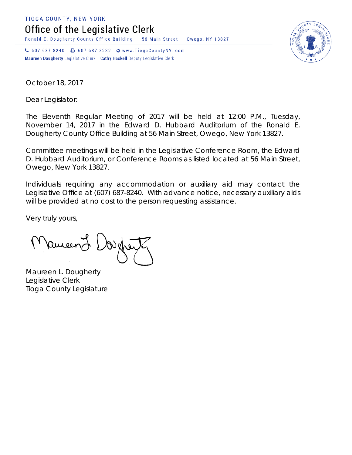TIOGA COUNTY, NEW YORK

Office of the Legislative Clerk

Ronald E. Dougherty County Office Building 56 Main Street Owego, NY 13827

↓ 607 687 8240 → 607 687 8232 → www.TiogaCountyNY.com Maureen Dougherty Legislative Clerk Cathy Haskell Deputy Legislative Clerk



October 18, 2017

Dear Legislator:

The Eleventh Regular Meeting of 2017 will be held at 12:00 P.M., Tuesday, November 14, 2017 in the Edward D. Hubbard Auditorium of the Ronald E. Dougherty County Office Building at 56 Main Street, Owego, New York 13827.

Committee meetings will be held in the Legislative Conference Room, the Edward D. Hubbard Auditorium, or Conference Rooms as listed located at 56 Main Street, Owego, New York 13827.

Individuals requiring any accommodation or auxiliary aid may contact the Legislative Office at (607) 687-8240. With advance notice, necessary auxiliary aids will be provided at no cost to the person requesting assistance.

Very truly yours,

Pameen J

Maureen L. Dougherty Legislative Clerk Tioga County Legislature